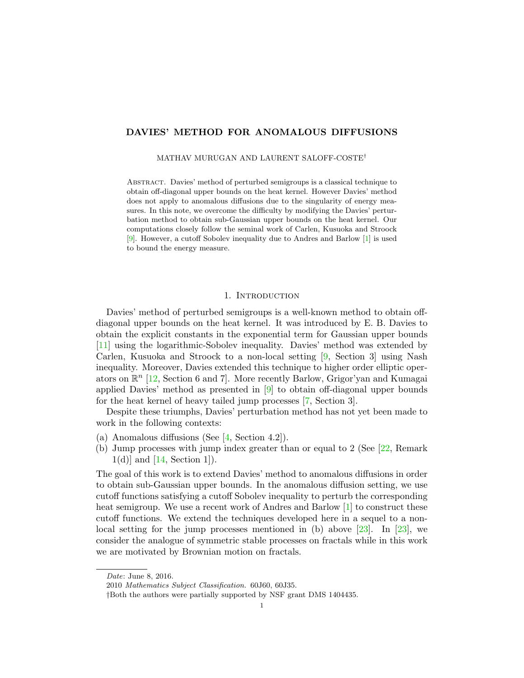## DAVIES' METHOD FOR ANOMALOUS DIFFUSIONS

MATHAV MURUGAN AND LAURENT SALOFF-COSTE†

Abstract. Davies' method of perturbed semigroups is a classical technique to obtain off-diagonal upper bounds on the heat kernel. However Davies' method does not apply to anomalous diffusions due to the singularity of energy measures. In this note, we overcome the difficulty by modifying the Davies' perturbation method to obtain sub-Gaussian upper bounds on the heat kernel. Our computations closely follow the seminal work of Carlen, Kusuoka and Stroock [\[9\]](#page-11-0). However, a cutoff Sobolev inequality due to Andres and Barlow [\[1\]](#page-11-1) is used to bound the energy measure.

## 1. INTRODUCTION

Davies' method of perturbed semigroups is a well-known method to obtain offdiagonal upper bounds on the heat kernel. It was introduced by E. B. Davies to obtain the explicit constants in the exponential term for Gaussian upper bounds [\[11\]](#page-11-2) using the logarithmic-Sobolev inequality. Davies' method was extended by Carlen, Kusuoka and Stroock to a non-local setting [\[9,](#page-11-0) Section 3] using Nash inequality. Moreover, Davies extended this technique to higher order elliptic operators on  $\mathbb{R}^n$  [\[12,](#page-11-3) Section 6 and 7]. More recently Barlow, Grigor'yan and Kumagai applied Davies' method as presented in [\[9\]](#page-11-0) to obtain off-diagonal upper bounds for the heat kernel of heavy tailed jump processes [\[7,](#page-11-4) Section 3].

Despite these triumphs, Davies' perturbation method has not yet been made to work in the following contexts:

- (a) Anomalous diffusions (See [\[4,](#page-11-5) Section 4.2]).
- (b) Jump processes with jump index greater than or equal to 2 (See [\[22,](#page-12-0) Remark  $1(d)$ ] and [\[14,](#page-12-1) Section 1]).

The goal of this work is to extend Davies' method to anomalous diffusions in order to obtain sub-Gaussian upper bounds. In the anomalous diffusion setting, we use cutoff functions satisfying a cutoff Sobolev inequality to perturb the corresponding heat semigroup. We use a recent work of Andres and Barlow [\[1\]](#page-11-1) to construct these cutoff functions. We extend the techniques developed here in a sequel to a nonlocal setting for the jump processes mentioned in  $(b)$  above [\[23\]](#page-12-2). In [23], we consider the analogue of symmetric stable processes on fractals while in this work we are motivated by Brownian motion on fractals.

Date: June 8, 2016.

<sup>2010</sup> Mathematics Subject Classification. 60J60, 60J35.

<sup>†</sup>Both the authors were partially supported by NSF grant DMS 1404435.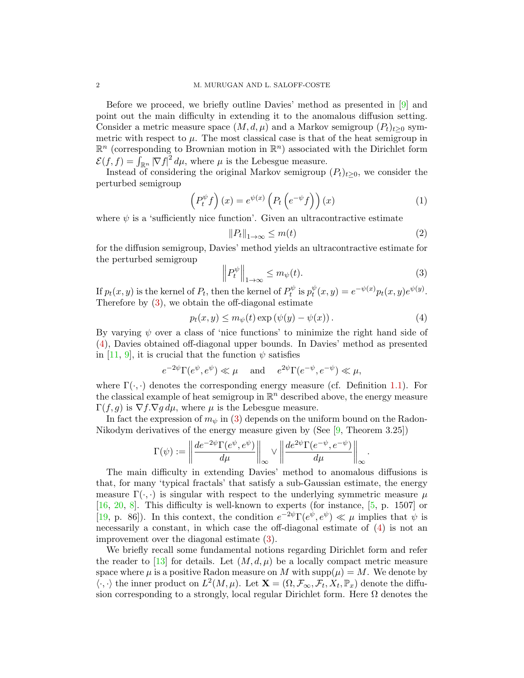Before we proceed, we briefly outline Davies' method as presented in [\[9\]](#page-11-0) and point out the main difficulty in extending it to the anomalous diffusion setting. Consider a metric measure space  $(M, d, \mu)$  and a Markov semigroup  $(P_t)_{t>0}$  symmetric with respect to  $\mu$ . The most classical case is that of the heat semigroup in  $\mathbb{R}^n$  (corresponding to Brownian motion in  $\mathbb{R}^n$ ) associated with the Dirichlet form  $\mathcal{E}(f, f) = \int_{\mathbb{R}^n} |\nabla f|^2 d\mu$ , where  $\mu$  is the Lebesgue measure.

Instead of considering the original Markov semigroup  $(P_t)_{t\geq0}$ , we consider the perturbed semigroup

<span id="page-1-2"></span>
$$
\left(P_t^{\psi} f\right)(x) = e^{\psi(x)} \left(P_t\left(e^{-\psi} f\right)\right)(x) \tag{1}
$$

where  $\psi$  is a 'sufficiently nice function'. Given an ultracontractive estimate

$$
||P_t||_{1\to\infty} \le m(t) \tag{2}
$$

for the diffusion semigroup, Davies' method yields an ultracontractive estimate for the perturbed semigroup

<span id="page-1-0"></span>
$$
\left\| P_t^{\psi} \right\|_{1 \to \infty} \le m_{\psi}(t). \tag{3}
$$

.

If  $p_t(x, y)$  is the kernel of  $P_t$ , then the kernel of  $P_t^{\psi}$  $p_t^{\psi}$  is  $p_t^{\psi}$  $t^{\psi}(x, y) = e^{-\psi(x)} p_t(x, y) e^{\psi(y)}.$ Therefore by [\(3\)](#page-1-0), we obtain the off-diagonal estimate

<span id="page-1-1"></span>
$$
p_t(x, y) \le m_{\psi}(t) \exp(\psi(y) - \psi(x)). \tag{4}
$$

By varying  $\psi$  over a class of 'nice functions' to minimize the right hand side of [\(4\)](#page-1-1), Davies obtained off-diagonal upper bounds. In Davies' method as presented in [\[11,](#page-11-2) [9\]](#page-11-0), it is crucial that the function  $\psi$  satisfies

$$
e^{-2\psi} \Gamma(e^{\psi}, e^{\psi}) \ll \mu
$$
 and  $e^{2\psi} \Gamma(e^{-\psi}, e^{-\psi}) \ll \mu$ ,

where  $\Gamma(\cdot, \cdot)$  denotes the corresponding energy measure (cf. Definition [1.1\)](#page-3-0). For the classical example of heat semigroup in  $\mathbb{R}^n$  described above, the energy measure  $\Gamma(f,g)$  is  $\nabla f.\nabla g d\mu$ , where  $\mu$  is the Lebesgue measure.

In fact the expression of  $m_{\psi}$  in [\(3\)](#page-1-0) depends on the uniform bound on the Radon-Nikodym derivatives of the energy measure given by (See [\[9,](#page-11-0) Theorem 3.25])

$$
\Gamma(\psi):=\left\|\frac{de^{-2\psi}\Gamma(e^{\psi},e^{\psi})}{d\mu}\right\|_{\infty}\vee\left\|\frac{de^{2\psi}\Gamma(e^{-\psi},e^{-\psi})}{d\mu}\right\|_{\infty}
$$

The main difficulty in extending Davies' method to anomalous diffusions is that, for many 'typical fractals' that satisfy a sub-Gaussian estimate, the energy measure  $\Gamma(\cdot, \cdot)$  is singular with respect to the underlying symmetric measure  $\mu$ [\[16,](#page-12-3) [20,](#page-12-4) [8\]](#page-11-6). This difficulty is well-known to experts (for instance, [\[5,](#page-11-7) p. 1507] or [\[19,](#page-12-5) p. 86]). In this context, the condition  $e^{-2\psi} \Gamma(e^{\psi}, e^{\psi}) \ll \mu$  implies that  $\psi$  is necessarily a constant, in which case the off-diagonal estimate of [\(4\)](#page-1-1) is not an improvement over the diagonal estimate [\(3\)](#page-1-0).

We briefly recall some fundamental notions regarding Dirichlet form and refer the reader to [\[13\]](#page-12-6) for details. Let  $(M, d, \mu)$  be a locally compact metric measure space where  $\mu$  is a positive Radon measure on M with  $\text{supp}(\mu) = M$ . We denote by  $\langle \cdot, \cdot \rangle$  the inner product on  $L^2(M, \mu)$ . Let  $\mathbf{X} = (\Omega, \mathcal{F}_{\infty}, \mathcal{F}_t, X_t, \mathbb{P}_x)$  denote the diffusion corresponding to a strongly, local regular Dirichlet form. Here  $\Omega$  denotes the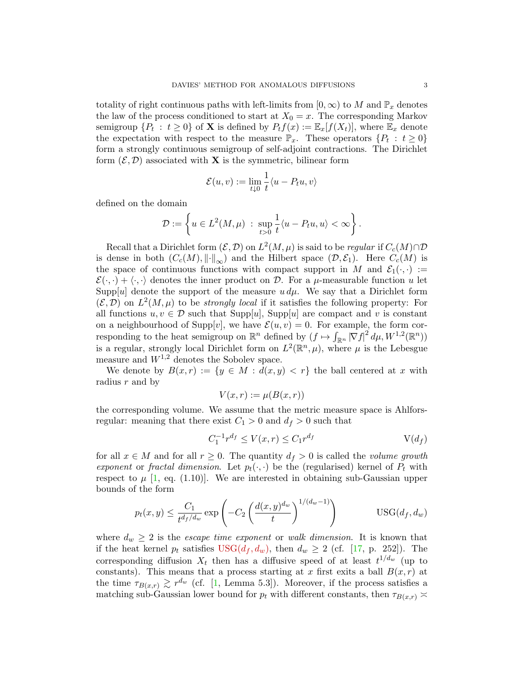totality of right continuous paths with left-limits from  $[0, \infty)$  to M and  $\mathbb{P}_x$  denotes the law of the process conditioned to start at  $X_0 = x$ . The corresponding Markov semigroup  $\{P_t : t \geq 0\}$  of **X** is defined by  $P_t f(x) := \mathbb{E}_x[f(X_t)],$  where  $\mathbb{E}_x$  denote the expectation with respect to the measure  $\mathbb{P}_x$ . These operators  $\{P_t : t \geq 0\}$ form a strongly continuous semigroup of self-adjoint contractions. The Dirichlet form  $(\mathcal{E}, \mathcal{D})$  associated with **X** is the symmetric, bilinear form

$$
\mathcal{E}(u,v):=\lim_{t\downarrow 0}\frac{1}{t}\langle u-P_tu,v\rangle
$$

defined on the domain

$$
\mathcal{D}:=\left\{u\in L^2(M,\mu)\;:\;\sup_{t>0}\frac{1}{t}\langle u-P_tu,u\rangle<\infty\right\}.
$$

Recall that a Dirichlet form  $(\mathcal{E}, \mathcal{D})$  on  $L^2(M, \mu)$  is said to be *regular* if  $C_c(M) \cap \mathcal{D}$ is dense in both  $(C_c(M), \|\cdot\|_{\infty})$  and the Hilbert space  $(\mathcal{D}, \mathcal{E}_1)$ . Here  $C_c(M)$  is the space of continuous functions with compact support in M and  $\mathcal{E}_1(\cdot, \cdot) :=$  $\mathcal{E}(\cdot, \cdot) + \langle \cdot, \cdot \rangle$  denotes the inner product on D. For a  $\mu$ -measurable function u let Supp[u] denote the support of the measure  $u d\mu$ . We say that a Dirichlet form  $(\mathcal{E}, \mathcal{D})$  on  $L^2(M, \mu)$  to be *strongly local* if it satisfies the following property: For all functions  $u, v \in \mathcal{D}$  such that Supp[u], Supp[u] are compact and v is constant on a neighbourhood of Supp[v], we have  $\mathcal{E}(u, v) = 0$ . For example, the form corresponding to the heat semigroup on  $\mathbb{R}^n$  defined by  $(f \mapsto \int_{\mathbb{R}^n} |\nabla f|^2 d\mu, W^{1,2}(\mathbb{R}^n))$ is a regular, strongly local Dirichlet form on  $L^2(\mathbb{R}^n, \mu)$ , where  $\mu$  is the Lebesgue measure and  $W^{1,2}$  denotes the Sobolev space.

We denote by  $B(x, r) := \{y \in M : d(x, y) < r\}$  the ball centered at x with radius  $r$  and by

<span id="page-2-2"></span>
$$
V(x,r) := \mu(B(x,r))
$$

the corresponding volume. We assume that the metric measure space is Ahlforsregular: meaning that there exist  $C_1 > 0$  and  $d_f > 0$  such that

<span id="page-2-1"></span><span id="page-2-0"></span>
$$
C_1^{-1}r^{d_f} \le V(x,r) \le C_1r^{d_f} \qquad \qquad V(d_f)
$$

for all  $x \in M$  and for all  $r \geq 0$ . The quantity  $d_f > 0$  is called the *volume growth* exponent or fractal dimension. Let  $p_t(\cdot, \cdot)$  be the (regularised) kernel of  $P_t$  with respect to  $\mu$  [\[1,](#page-11-1) eq. (1.10)]. We are interested in obtaining sub-Gaussian upper bounds of the form

$$
p_t(x,y) \le \frac{C_1}{t^{d_f/d_w}} \exp\left(-C_2 \left(\frac{d(x,y)^{d_w}}{t}\right)^{1/(d_w-1)}\right) \qquad \text{USG}(d_f, d_w)
$$

where  $d_w \geq 2$  is the *escape time exponent* or *walk dimension*. It is known that if the heat kernel  $p_t$  satisfies  $USG(d_f, d_w)$  $USG(d_f, d_w)$ , then  $d_w \geq 2$  (cf. [\[17,](#page-12-7) p. 252]). The corresponding diffusion  $X_t$  then has a diffusive speed of at least  $t^{1/d_w}$  (up to constants). This means that a process starting at x first exits a ball  $B(x, r)$  at the time  $\tau_{B(x,r)} \gtrsim r^{d_w}$  (cf. [\[1,](#page-11-1) Lemma 5.3]). Moreover, if the process satisfies a matching sub-Gaussian lower bound for  $p_t$  with different constants, then  $\tau_{B(x,r)}$   $\asymp$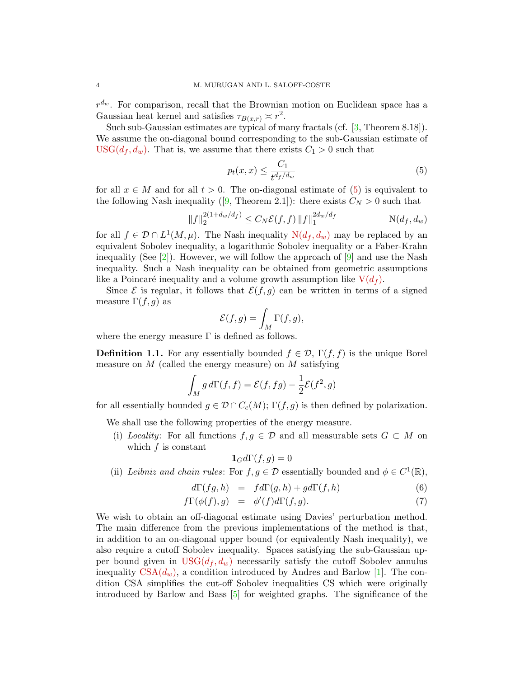$r^{d_w}$ . For comparison, recall that the Brownian motion on Euclidean space has a Gaussian heat kernel and satisfies  $\tau_{B(x,r)} \asymp r^2$ .

Such sub-Gaussian estimates are typical of many fractals (cf. [\[3,](#page-11-8) Theorem 8.18]). We assume the on-diagonal bound corresponding to the sub-Gaussian estimate of  $USG(d_f, d_w)$  $USG(d_f, d_w)$ . That is, we assume that there exists  $C_1 > 0$  such that

<span id="page-3-1"></span>
$$
p_t(x,x) \le \frac{C_1}{t^{d_f/d_w}}\tag{5}
$$

for all  $x \in M$  and for all  $t > 0$ . The on-diagonal estimate of  $(5)$  is equivalent to thefollowing Nash inequality ([\[9,](#page-11-0) Theorem 2.1]): there exists  $C_N > 0$  such that

<span id="page-3-2"></span>
$$
||f||_2^{2(1+d_w/d_f)} \le C_N \mathcal{E}(f,f) ||f||_1^{2d_w/d_f} \qquad \qquad \mathcal{N}(d_f,d_w)
$$

for all  $f \in \mathcal{D} \cap L^1(M, \mu)$ . The Nash inequality  $N(d_f, d_w)$  $N(d_f, d_w)$  may be replaced by an equivalent Sobolev inequality, a logarithmic Sobolev inequality or a Faber-Krahn inequality (See  $[2]$ ). However, we will follow the approach of  $[9]$  and use the Nash inequality. Such a Nash inequality can be obtained from geometric assumptions like a Poincaré inequality and a volume growth assumption like  $V(d_f)$  $V(d_f)$ .

Since  $\mathcal E$  is regular, it follows that  $\mathcal E(f, g)$  can be written in terms of a signed measure  $\Gamma(f, g)$  as

$$
\mathcal{E}(f,g) = \int_M \Gamma(f,g),
$$

where the energy measure  $\Gamma$  is defined as follows.

<span id="page-3-0"></span>**Definition 1.1.** For any essentially bounded  $f \in \mathcal{D}$ ,  $\Gamma(f, f)$  is the unique Borel measure on  $M$  (called the energy measure) on  $M$  satisfying

$$
\int_M g \, d\Gamma(f, f) = \mathcal{E}(f, fg) - \frac{1}{2} \mathcal{E}(f^2, g)
$$

for all essentially bounded  $g \in \mathcal{D} \cap C_c(M)$ ;  $\Gamma(f, g)$  is then defined by polarization.

We shall use the following properties of the energy measure.

(i) Locality: For all functions  $f, g \in \mathcal{D}$  and all measurable sets  $G \subset M$  on which  $f$  is constant

$$
\mathbf{1}_G d\Gamma(f,g) = 0
$$

(ii) Leibniz and chain rules: For  $f, g \in \mathcal{D}$  essentially bounded and  $\phi \in C^1(\mathbb{R})$ ,

$$
d\Gamma(fg,h) = f d\Gamma(g,h) + g d\Gamma(f,h)
$$
\n(6)

$$
f\Gamma(\phi(f),g) = \phi'(f)d\Gamma(f,g). \tag{7}
$$

We wish to obtain an off-diagonal estimate using Davies' perturbation method. The main difference from the previous implementations of the method is that, in addition to an on-diagonal upper bound (or equivalently Nash inequality), we also require a cutoff Sobolev inequality. Spaces satisfying the sub-Gaussian upper bound given in  $USG(d_f, d_w)$  $USG(d_f, d_w)$  necessarily satisfy the cutoff Sobolev annulus inequality  $CSA(d_w)$  $CSA(d_w)$ , a condition introduced by Andres and Barlow [\[1\]](#page-11-1). The condition CSA simplifies the cut-off Sobolev inequalities CS which were originally introduced by Barlow and Bass [\[5\]](#page-11-7) for weighted graphs. The significance of the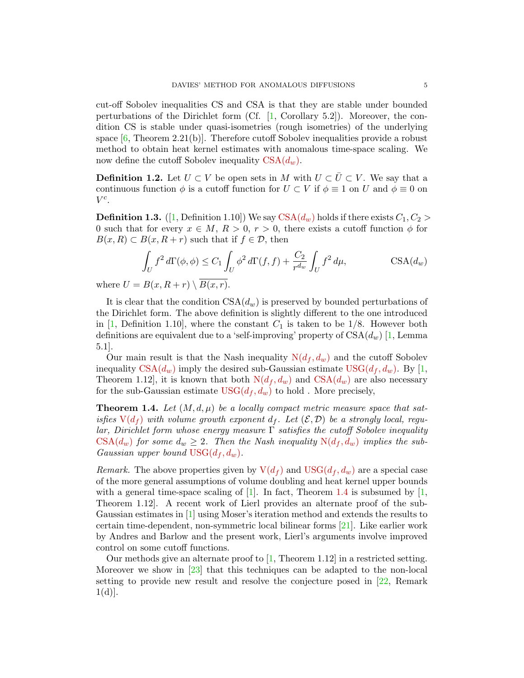cut-off Sobolev inequalities CS and CSA is that they are stable under bounded perturbations of the Dirichlet form  $(Cf. [1, Corollary 5.2])$  $(Cf. [1, Corollary 5.2])$  $(Cf. [1, Corollary 5.2])$ . Moreover, the condition CS is stable under quasi-isometries (rough isometries) of the underlying space  $[6,$  Theorem 2.21(b). Therefore cutoff Sobolev inequalities provide a robust method to obtain heat kernel estimates with anomalous time-space scaling. We now define the cutoff Sobolev inequality  $CSA(d_w)$  $CSA(d_w)$ .

**Definition 1.2.** Let  $U \subset V$  be open sets in M with  $U \subset \overline{U} \subset V$ . We say that a continuous function  $\phi$  is a cutoff function for  $U \subset V$  if  $\phi \equiv 1$  on U and  $\phi \equiv 0$  on  $V^c$ .

**Definition 1.3.** ([\[1,](#page-11-1) Definition 1.10]) We say  $CSA(d_w)$  $CSA(d_w)$  holds if there exists  $C_1, C_2$ 0 such that for every  $x \in M$ ,  $R > 0$ ,  $r > 0$ , there exists a cutoff function  $\phi$  for  $B(x, R) \subset B(x, R+r)$  such that if  $f \in \mathcal{D}$ , then

<span id="page-4-0"></span>
$$
\int_U f^2 d\Gamma(\phi,\phi) \le C_1 \int_U \phi^2 d\Gamma(f,f) + \frac{C_2}{r^{d_w}} \int_U f^2 d\mu, \qquad \text{CSA}(d_w)
$$

where  $U = B(x, R + r) \setminus \overline{B(x, r)}$ .

It is clear that the condition  $\text{CSA}(d_w)$  is preserved by bounded perturbations of the Dirichlet form. The above definition is slightly different to the one introduced in [\[1,](#page-11-1) Definition 1.10], where the constant  $C_1$  is taken to be 1/8. However both definitions are equivalent due to a 'self-improving' property of  $CSA(d_w)$  [\[1,](#page-11-1) Lemma 5.1].

Our main result is that the Nash inequality  $N(d_f, d_w)$  $N(d_f, d_w)$  and the cutoff Sobolev inequality  $CSA(d_w)$  $CSA(d_w)$  imply the desired sub-Gaussian estimate  $USG(d_f, d_w)$  $USG(d_f, d_w)$ . By [\[1,](#page-11-1) Theorem 1.12, it is known that both  $N(d_f, d_w)$  $N(d_f, d_w)$  and  $CSA(d_w)$  $CSA(d_w)$  are also necessary for the sub-Gaussian estimate  $USG(d_f, d_w)$  $USG(d_f, d_w)$  to hold. More precisely,

<span id="page-4-1"></span>**Theorem 1.4.** Let  $(M, d, \mu)$  be a locally compact metric measure space that satisfies  $V(d_f)$  $V(d_f)$  with volume growth exponent  $d_f$ . Let  $(\mathcal{E}, \mathcal{D})$  be a strongly local, reqular, Dirichlet form whose energy measure  $\Gamma$  satisfies the cutoff Sobolev inequality  $CSA(d_w)$  $CSA(d_w)$  for some  $d_w \geq 2$ . Then the Nash inequality  $N(d_f, d_w)$  $N(d_f, d_w)$  implies the sub-Gaussian upper bound  $USG(d_f, d_w)$  $USG(d_f, d_w)$ .

Remark. The above properties given by  $V(d_f)$  $V(d_f)$  and  $USG(d_f, d_w)$  $USG(d_f, d_w)$  are a special case of the more general assumptions of volume doubling and heat kernel upper bounds with a general time-space scaling of  $[1]$ . In fact, Theorem [1.4](#page-4-1) is subsumed by  $[1]$ , Theorem 1.12]. A recent work of Lierl provides an alternate proof of the sub-Gaussian estimates in [\[1\]](#page-11-1) using Moser's iteration method and extends the results to certain time-dependent, non-symmetric local bilinear forms [\[21\]](#page-12-8). Like earlier work by Andres and Barlow and the present work, Lierl's arguments involve improved control on some cutoff functions.

Our methods give an alternate proof to  $[1,$  Theorem 1.12 in a restricted setting. Moreover we show in  $\left[23\right]$  that this techniques can be adapted to the non-local setting to provide new result and resolve the conjecture posed in [\[22,](#page-12-0) Remark  $1(d)$ .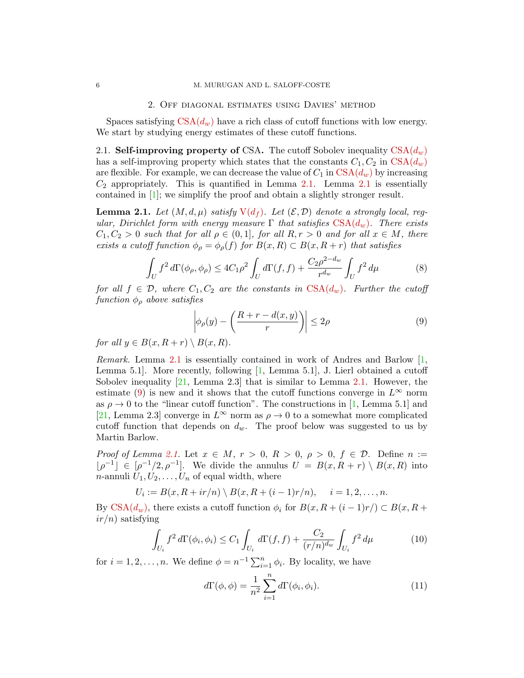## 2. Off diagonal estimates using Davies' method

Spaces satisfying  $CSA(d_w)$  $CSA(d_w)$  have a rich class of cutoff functions with low energy. We start by studying energy estimates of these cutoff functions.

2.1. Self-improving property of CSA. The cutoff Sobolev inequality  $CSA(d_w)$  $CSA(d_w)$ has a self-improving property which states that the constants  $C_1, C_2$  in  $CSA(d_w)$  $CSA(d_w)$ are flexible. For example, we can decrease the value of  $C_1$  in  $CSA(d_w)$  $CSA(d_w)$  by increasing  $C_2$  appropriately. This is quantified in Lemma [2.1.](#page-5-0) Lemma [2.1](#page-5-0) is essentially contained in [\[1\]](#page-11-1); we simplify the proof and obtain a slightly stronger result.

<span id="page-5-0"></span>**Lemma 2.1.** Let  $(M, d, \mu)$  satisfy  $V(d_f)$  $V(d_f)$ . Let  $(\mathcal{E}, \mathcal{D})$  denote a strongly local, regular, Dirichlet form with energy measure  $\Gamma$  that satisfies  $CSA(d_w)$  $CSA(d_w)$ . There exists  $C_1, C_2 > 0$  such that for all  $\rho \in (0, 1]$ , for all  $R, r > 0$  and for all  $x \in M$ , there exists a cutoff function  $\phi_{\rho} = \phi_{\rho}(f)$  for  $B(x,R) \subset B(x,R+r)$  that satisfies

<span id="page-5-4"></span>
$$
\int_{U} f^{2} d\Gamma(\phi_{\rho}, \phi_{\rho}) \leq 4C_{1}\rho^{2} \int_{U} d\Gamma(f, f) + \frac{C_{2}\rho^{2-d_{w}}}{r^{d_{w}}} \int_{U} f^{2} d\mu
$$
\n(8)

for all  $f \in \mathcal{D}$ , where  $C_1, C_2$  are the constants in  $CSA(d_w)$  $CSA(d_w)$ . Further the cutoff function  $\phi_{\rho}$  above satisfies

<span id="page-5-1"></span>
$$
\left| \phi_{\rho}(y) - \left( \frac{R+r - d(x, y)}{r} \right) \right| \le 2\rho \tag{9}
$$

for all  $y \in B(x, R + r) \setminus B(x, R)$ .

Remark. Lemma [2.1](#page-5-0) is essentially contained in work of Andres and Barlow [\[1,](#page-11-1) Lemma 5.1. More recently, following  $[1, \text{ Lemma } 5.1]$ , J. Lierl obtained a cutoff Sobolev inequality  $[21, \text{ Lemma } 2.3]$  that is similar to Lemma [2.1.](#page-5-0) However, the estimate [\(9\)](#page-5-1) is new and it shows that the cutoff functions converge in  $L^{\infty}$  norm as  $\rho \to 0$  to the "linear cutoff function". The constructions in [\[1,](#page-11-1) Lemma 5.1] and [\[21,](#page-12-8) Lemma 2.3] converge in  $L^{\infty}$  norm as  $\rho \to 0$  to a somewhat more complicated cutoff function that depends on  $d_w$ . The proof below was suggested to us by Martin Barlow.

Proof of Lemma [2.1.](#page-5-0) Let  $x \in M$ ,  $r > 0$ ,  $R > 0$ ,  $\rho > 0$ ,  $f \in \mathcal{D}$ . Define  $n :=$  $|\rho^{-1}| \in [\rho^{-1}/2, \rho^{-1}]$ . We divide the annulus  $U = B(x, R + r) \setminus B(x, R)$  into *n*-annuli  $U_1, U_2, \ldots, U_n$  of equal width, where

$$
U_i := B(x, R + ir/n) \setminus B(x, R + (i - 1)r/n), \quad i = 1, 2, ..., n.
$$

By [CSA\(](#page-4-0) $d_w$ ), there exists a cutoff function  $\phi_i$  for  $B(x, R + (i-1)r) \subset B(x, R +$  $ir/n$ ) satisfying

<span id="page-5-3"></span>
$$
\int_{U_i} f^2 d\Gamma(\phi_i, \phi_i) \le C_1 \int_{U_i} d\Gamma(f, f) + \frac{C_2}{(r/n)^{d_w}} \int_{U_i} f^2 d\mu \tag{10}
$$

for  $i = 1, 2, ..., n$ . We define  $\phi = n^{-1} \sum_{i=1}^{n} \phi_i$ . By locality, we have

<span id="page-5-2"></span>
$$
d\Gamma(\phi,\phi) = \frac{1}{n^2} \sum_{i=1}^{n} d\Gamma(\phi_i,\phi_i).
$$
 (11)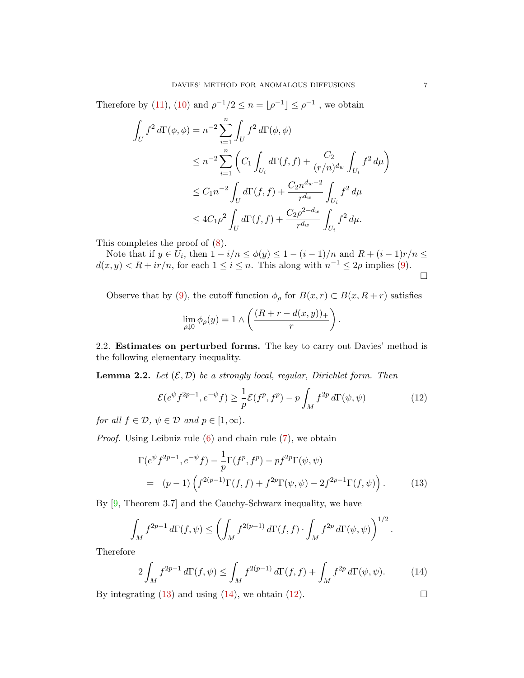Therefore by [\(11\)](#page-5-2), [\(10\)](#page-5-3) and  $\rho^{-1}/2 \leq n = |\rho^{-1}| \leq \rho^{-1}$ , we obtain

$$
\int_{U} f^{2} d\Gamma(\phi, \phi) = n^{-2} \sum_{i=1}^{n} \int_{U} f^{2} d\Gamma(\phi, \phi)
$$
\n
$$
\leq n^{-2} \sum_{i=1}^{n} \left( C_{1} \int_{U_{i}} d\Gamma(f, f) + \frac{C_{2}}{(r/n)^{d_{w}}} \int_{U_{i}} f^{2} d\mu \right)
$$
\n
$$
\leq C_{1} n^{-2} \int_{U} d\Gamma(f, f) + \frac{C_{2} n^{d_{w}-2}}{r^{d_{w}}} \int_{U_{i}} f^{2} d\mu
$$
\n
$$
\leq 4C_{1} \rho^{2} \int_{U} d\Gamma(f, f) + \frac{C_{2} \rho^{2} - d_{w}}{r^{d_{w}}} \int_{U_{i}} f^{2} d\mu.
$$

This completes the proof of [\(8\)](#page-5-4).

Note that if  $y \in U_i$ , then  $1 - i/n \le \phi(y) \le 1 - (i - 1)/n$  and  $R + (i - 1)r/n \le$  $d(x, y) < R + ir/n$ , for each  $1 \leq i \leq n$ . This along with  $n^{-1} \leq 2\rho$  implies [\(9\)](#page-5-1).  $\Box$ 

Observe that by [\(9\)](#page-5-1), the cutoff function  $\phi_{\rho}$  for  $B(x, r) \subset B(x, R+r)$  satisfies

$$
\lim_{\rho \downarrow 0} \phi_{\rho}(y) = 1 \wedge \left( \frac{(R+r - d(x,y))_+}{r} \right).
$$

2.2. Estimates on perturbed forms. The key to carry out Davies' method is the following elementary inequality.

<span id="page-6-3"></span>**Lemma 2.2.** Let  $(\mathcal{E}, \mathcal{D})$  be a strongly local, regular, Dirichlet form. Then

<span id="page-6-2"></span>
$$
\mathcal{E}(e^{\psi}f^{2p-1},e^{-\psi}f) \ge \frac{1}{p}\mathcal{E}(f^p,f^p) - p \int_M f^{2p} d\Gamma(\psi,\psi)
$$
 (12)

for all  $f \in \mathcal{D}, \psi \in \mathcal{D}$  and  $p \in [1, \infty)$ .

Proof. Using Leibniz rule [\(6\)](#page-3-2) and chain rule [\(7\)](#page-3-2), we obtain

<span id="page-6-0"></span>
$$
\Gamma(e^{\psi} f^{2p-1}, e^{-\psi} f) - \frac{1}{p} \Gamma(f^p, f^p) - pf^{2p} \Gamma(\psi, \psi)
$$
  
=  $(p-1) \left( f^{2(p-1)} \Gamma(f, f) + f^{2p} \Gamma(\psi, \psi) - 2f^{2p-1} \Gamma(f, \psi) \right).$  (13)

By [\[9,](#page-11-0) Theorem 3.7] and the Cauchy-Schwarz inequality, we have

$$
\int_M f^{2p-1} d\Gamma(f,\psi) \le \left(\int_M f^{2(p-1)} d\Gamma(f,f) \cdot \int_M f^{2p} d\Gamma(\psi,\psi)\right)^{1/2}.
$$

Therefore

<span id="page-6-1"></span>
$$
2\int_M f^{2p-1} d\Gamma(f,\psi) \le \int_M f^{2(p-1)} d\Gamma(f,f) + \int_M f^{2p} d\Gamma(\psi,\psi). \tag{14}
$$

By integrating [\(13\)](#page-6-0) and using [\(14\)](#page-6-1), we obtain [\(12\)](#page-6-2).  $\Box$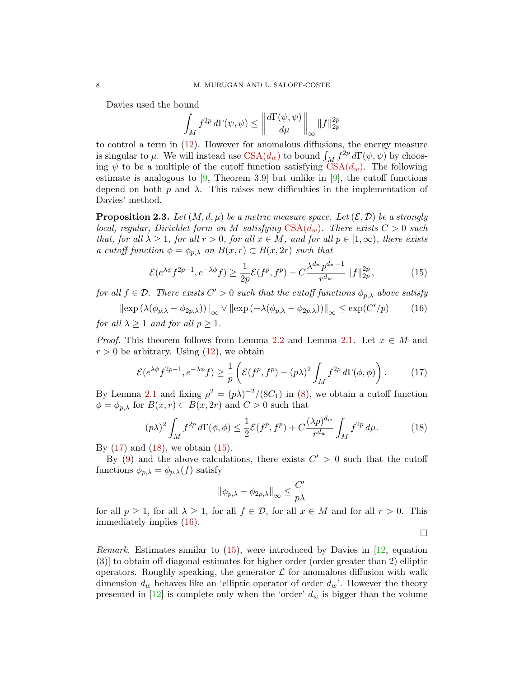Davies used the bound

$$
\int_M f^{2p} d\Gamma(\psi, \psi) \le \left\| \frac{d\Gamma(\psi, \psi)}{d\mu} \right\|_{\infty} \|f\|_{2p}^{2p}
$$

to control a term in [\(12\)](#page-6-2). However for anomalous diffusions, the energy measure is singular to  $\mu$ . We will instead use  $CSA(d_w)$  $CSA(d_w)$  to bound  $\int_M f^{2p} d\Gamma(\psi, \psi)$  by choosing  $\psi$  to be a multiple of the cutoff function satisfying  $CSA(d_w)$  $CSA(d_w)$ . The following estimate is analogous to  $[9,$  Theorem 3.9 but unlike in  $[9]$ , the cutoff functions depend on both p and  $\lambda$ . This raises new difficulties in the implementation of Davies' method.

<span id="page-7-4"></span>**Proposition 2.3.** Let  $(M, d, \mu)$  be a metric measure space. Let  $(\mathcal{E}, \mathcal{D})$  be a strongly local, regular, Dirichlet form on M satisfying  $\text{CSA}(d_w)$ . There exists  $C > 0$  such that, for all  $\lambda \geq 1$ , for all  $r > 0$ , for all  $x \in M$ , and for all  $p \in [1, \infty)$ , there exists a cutoff function  $\phi = \phi_{p,\lambda}$  on  $B(x,r) \subset B(x,2r)$  such that

<span id="page-7-2"></span>
$$
\mathcal{E}(e^{\lambda \phi} f^{2p-1}, e^{-\lambda \phi} f) \ge \frac{1}{2p} \mathcal{E}(f^p, f^p) - C \frac{\lambda^{d_w} p^{d_w - 1}}{r^{d_w}} \|f\|_{2p}^{2p},\tag{15}
$$

for all  $f \in \mathcal{D}$ . There exists  $C' > 0$  such that the cutoff functions  $\phi_{p,\lambda}$  above satisfy

<span id="page-7-3"></span> $\|\exp\left(\lambda(\phi_{p,\lambda} - \phi_{2p,\lambda})\right)\|_{\infty} \vee \|\exp\left(-\lambda(\phi_{p,\lambda} - \phi_{2p,\lambda})\right)\|_{\infty} \leq \exp(C')$  $(16)$ for all  $\lambda \geq 1$  and for all  $p \geq 1$ .

*Proof.* This theorem follows from Lemma [2.2](#page-6-3) and Lemma [2.1.](#page-5-0) Let  $x \in M$  and  $r > 0$  be arbitrary. Using  $(12)$ , we obtain

<span id="page-7-0"></span>
$$
\mathcal{E}(e^{\lambda \phi} f^{2p-1}, e^{-\lambda \phi} f) \ge \frac{1}{p} \left( \mathcal{E}(f^p, f^p) - (p\lambda)^2 \int_M f^{2p} d\Gamma(\phi, \phi) \right). \tag{17}
$$

By Lemma [2.1](#page-5-0) and fixing  $\rho^2 = (p\lambda)^{-2}/(8C_1)$  in [\(8\)](#page-5-4), we obtain a cutoff function  $\phi = \phi_{p,\lambda}$  for  $B(x,r) \subset B(x, 2r)$  and  $C > 0$  such that

<span id="page-7-1"></span>
$$
(p\lambda)^2 \int_M f^{2p} d\Gamma(\phi,\phi) \le \frac{1}{2} \mathcal{E}(f^p, f^p) + C \frac{(\lambda p)^{d_w}}{r^{d_w}} \int_M f^{2p} d\mu.
$$
 (18)

By  $(17)$  and  $(18)$ , we obtain  $(15)$ .

By [\(9\)](#page-5-1) and the above calculations, there exists  $C' > 0$  such that the cutoff functions  $\phi_{p,\lambda} = \phi_{p,\lambda}(f)$  satisfy

$$
\|\phi_{p,\lambda}-\phi_{2p,\lambda}\|_\infty\leq \frac{C'}{p\lambda}
$$

for all  $p \ge 1$ , for all  $\lambda \ge 1$ , for all  $f \in \mathcal{D}$ , for all  $x \in M$  and for all  $r > 0$ . This immediately implies [\(16\)](#page-7-3).

 $\Box$ 

*Remark.* Estimates similar to  $(15)$ , were introduced by Davies in  $[12]$ , equation (3)] to obtain off-diagonal estimates for higher order (order greater than 2) elliptic operators. Roughly speaking, the generator  $\mathcal L$  for anomalous diffusion with walk dimension  $d_w$  behaves like an 'elliptic operator of order  $d_w$ '. However the theory presented in  $[12]$  is complete only when the 'order'  $d_w$  is bigger than the volume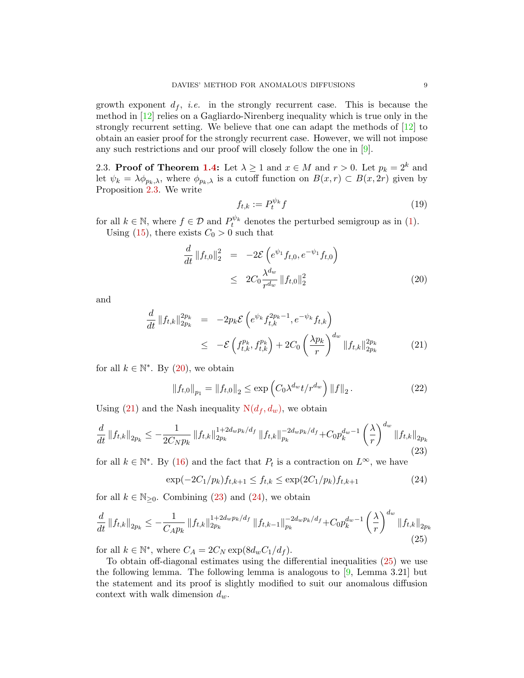growth exponent  $d_f$ , *i.e.* in the strongly recurrent case. This is because the method in [\[12\]](#page-11-3) relies on a Gagliardo-Nirenberg inequality which is true only in the strongly recurrent setting. We believe that one can adapt the methods of [\[12\]](#page-11-3) to obtain an easier proof for the strongly recurrent case. However, we will not impose any such restrictions and our proof will closely follow the one in [\[9\]](#page-11-0).

2.3. **Proof of Theorem [1.4:](#page-4-1)** Let  $\lambda \ge 1$  and  $x \in M$  and  $r > 0$ . Let  $p_k = 2^k$  and let  $\psi_k = \lambda \phi_{p_k,\lambda}$ , where  $\phi_{p_k,\lambda}$  is a cutoff function on  $B(x,r) \subset B(x, 2r)$  given by Proposition [2.3.](#page-7-4) We write

$$
f_{t,k} := P_t^{\psi_k} f \tag{19}
$$

for all  $k \in \mathbb{N}$ , where  $f \in \mathcal{D}$  and  $P_t^{\psi_k}$  denotes the perturbed semigroup as in [\(1\)](#page-1-2). Using [\(15\)](#page-7-2), there exists  $C_0 > 0$  such that

<span id="page-8-0"></span>
$$
\frac{d}{dt} \|f_{t,0}\|_2^2 = -2\mathcal{E}\left(e^{\psi_1} f_{t,0}, e^{-\psi_1} f_{t,0}\right) \n\leq 2C_0 \frac{\lambda^{d_w}}{r^{d_w}} \|f_{t,0}\|_2^2
$$
\n(20)

and

<span id="page-8-1"></span>
$$
\frac{d}{dt} \|f_{t,k}\|_{2p_k}^{2p_k} = -2p_k \mathcal{E}\left(e^{\psi_k} f_{t,k}^{2p_k-1}, e^{-\psi_k} f_{t,k}\right) \n\leq -\mathcal{E}\left(f_{t,k}^{p_k}, f_{t,k}^{p_k}\right) + 2C_0 \left(\frac{\lambda p_k}{r}\right)^{d_w} \|f_{t,k}\|_{2p_k}^{2p_k}
$$
\n(21)

for all  $k \in \mathbb{N}^*$ . By [\(20\)](#page-8-0), we obtain

<span id="page-8-5"></span>
$$
\|f_{t,0}\|_{p_1} = \|f_{t,0}\|_2 \le \exp\left(C_0 \lambda^{d_w} t/r^{d_w}\right) \|f\|_2. \tag{22}
$$

Using [\(21\)](#page-8-1) and the Nash inequality  $N(d_f, d_w)$  $N(d_f, d_w)$ , we obtain

<span id="page-8-2"></span>
$$
\frac{d}{dt} \left\|f_{t,k}\right\|_{2p_k} \le -\frac{1}{2C_N p_k} \left\|f_{t,k}\right\|_{2p_k}^{1+2d_w p_k/d_f} \left\|f_{t,k}\right\|_{p_k}^{-2d_w p_k/d_f} + C_0 p_k^{d_w - 1} \left(\frac{\lambda}{r}\right)^{d_w} \left\|f_{t,k}\right\|_{2p_k} \tag{23}
$$

for all  $k \in \mathbb{N}^*$ . By [\(16\)](#page-7-3) and the fact that  $P_t$  is a contraction on  $L^{\infty}$ , we have

<span id="page-8-3"></span>
$$
\exp(-2C_1/p_k)f_{t,k+1} \le f_{t,k} \le \exp(2C_1/p_k)f_{t,k+1} \tag{24}
$$

for all  $k \in \mathbb{N}_{\geq 0}$ . Combining [\(23\)](#page-8-2) and [\(24\)](#page-8-3), we obtain

<span id="page-8-4"></span>
$$
\frac{d}{dt} \left\|f_{t,k}\right\|_{2p_k} \le -\frac{1}{C_A p_k} \left\|f_{t,k}\right\|_{2p_k}^{1+2d_w p_k/d_f} \left\|f_{t,k-1}\right\|_{p_k}^{-2d_w p_k/d_f} + C_0 p_k^{d_w - 1} \left(\frac{\lambda}{r}\right)^{d_w} \left\|f_{t,k}\right\|_{2p_k}
$$
\n(25)

for all  $k \in \mathbb{N}^*$ , where  $C_A = 2C_N \exp(8d_w C_1/d_f)$ .

To obtain off-diagonal estimates using the differential inequalities [\(25\)](#page-8-4) we use the following lemma. The following lemma is analogous to  $[9, \text{Lemma } 3.21]$  but the statement and its proof is slightly modified to suit our anomalous diffusion context with walk dimension  $d_w$ .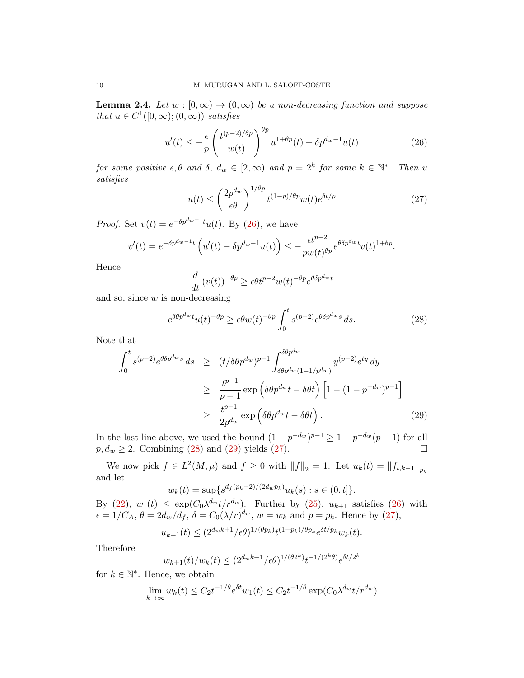**Lemma 2.4.** Let  $w : [0, \infty) \to (0, \infty)$  be a non-decreasing function and suppose that  $u \in C^1([0,\infty);(0,\infty))$  satisfies

<span id="page-9-0"></span>
$$
u'(t) \le -\frac{\epsilon}{p} \left( \frac{t^{(p-2)/\theta p}}{w(t)} \right)^{\theta p} u^{1+\theta p}(t) + \delta p^{d_w - 1} u(t)
$$
 (26)

for some positive  $\epsilon, \theta$  and  $\delta, d_w \in [2, \infty)$  and  $p = 2^k$  for some  $k \in \mathbb{N}^*$ . Then u satisfies

<span id="page-9-3"></span>
$$
u(t) \le \left(\frac{2p^{d_w}}{\epsilon \theta}\right)^{1/\theta p} t^{(1-p)/\theta p} w(t) e^{\delta t/p} \tag{27}
$$

*Proof.* Set  $v(t) = e^{-\delta p^{dw}-1}u(t)$ . By [\(26\)](#page-9-0), we have

$$
v'(t) = e^{-\delta p^{d_w-1}t} \left( u'(t) - \delta p^{d_w-1}u(t) \right) \le -\frac{\epsilon t^{p-2}}{pw(t)^{\theta p}} e^{\theta \delta p^{d_w}t} v(t)^{1+\theta p}.
$$

Hence

$$
\frac{d}{dt}\left(v(t)\right)^{-\theta p} \ge \epsilon \theta t^{p-2} w(t)^{-\theta p} e^{\theta \delta p^{d_w} t}
$$

and so, since  $w$  is non-decreasing

<span id="page-9-1"></span>
$$
e^{\delta\theta p^{d_w}t}u(t)^{-\theta p} \ge \epsilon\theta w(t)^{-\theta p} \int_0^t s^{(p-2)}e^{\theta\delta p^{d_w}s} ds.
$$
 (28)

Note that

<span id="page-9-2"></span>
$$
\int_{0}^{t} s^{(p-2)} e^{\theta \delta p^{dw} s} ds \ge (t/\delta \theta p^{d_w})^{p-1} \int_{\delta \theta p^{d_w} (1-1/p^{d_w})}^{\delta \theta p^{d_w}} y^{(p-2)} e^{ty} dy
$$
\n
$$
\ge \frac{t^{p-1}}{p-1} \exp\left(\delta \theta p^{d_w} t - \delta \theta t\right) \left[1 - (1 - p^{-d_w})^{p-1}\right]
$$
\n
$$
\ge \frac{t^{p-1}}{2p^{d_w}} \exp\left(\delta \theta p^{d_w} t - \delta \theta t\right).
$$
\n(29)

In the last line above, we used the bound  $(1-p^{-d_w})^{p-1} \geq 1-p^{-d_w}(p-1)$  for all  $p, d_w \geq 2$ . Combining [\(28\)](#page-9-1) and [\(29\)](#page-9-2) yields [\(27\)](#page-9-3).

We now pick  $f \in L^2(M, \mu)$  and  $f \ge 0$  with  $||f||_2 = 1$ . Let  $u_k(t) = ||f_{t,k-1}||_{p_k}$ and let

$$
w_k(t) = \sup \{ s^{d_f(p_k-2)/(2d_w p_k)} u_k(s) : s \in (0, t] \}.
$$

By [\(22\)](#page-8-5),  $w_1(t) \leq \exp(C_0 \lambda^{d_w} t/r^{d_w})$ . Further by [\(25\)](#page-8-4),  $u_{k+1}$  satisfies [\(26\)](#page-9-0) with  $\epsilon = 1/C_A$ ,  $\theta = 2d_w/d_f$ ,  $\delta = C_0(\lambda/r)^{d_w}$ ,  $w = w_k$  and  $p = p_k$ . Hence by [\(27\)](#page-9-3),

$$
u_{k+1}(t) \le (2^{d_w k + 1} / \epsilon \theta)^{1/(\theta p_k)} t^{(1 - p_k)/\theta p_k} e^{\delta t / p_k} w_k(t).
$$

Therefore

$$
w_{k+1}(t)/w_k(t) \le (2^{d_w k + 1}/\epsilon \theta)^{1/(\theta 2^k)} t^{-1/(2^k \theta)} e^{\delta t/2^k}
$$

for  $k \in \mathbb{N}^*$ . Hence, we obtain

$$
\lim_{k \to \infty} w_k(t) \le C_2 t^{-1/\theta} e^{\delta t} w_1(t) \le C_2 t^{-1/\theta} \exp(C_0 \lambda^{d_w} t / r^{d_w})
$$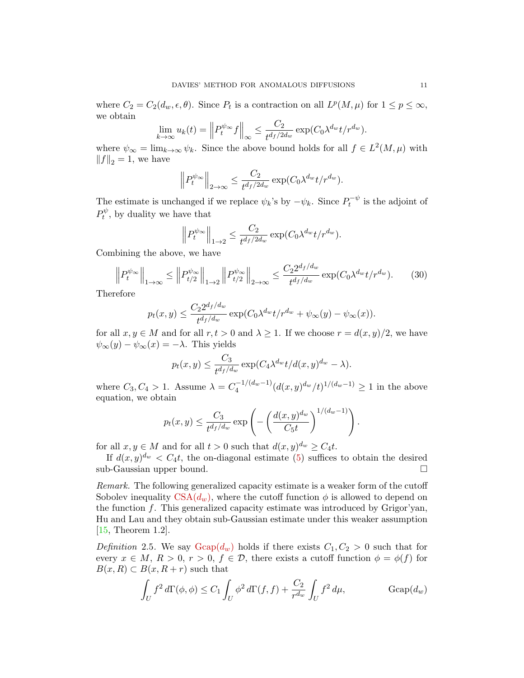where  $C_2 = C_2(d_w, \epsilon, \theta)$ . Since  $P_t$  is a contraction on all  $L^p(M, \mu)$  for  $1 \le p \le \infty$ , we obtain

$$
\lim_{k \to \infty} u_k(t) = \left\| P_t^{\psi_\infty} f \right\|_\infty \le \frac{C_2}{t^{d_f/2d_w}} \exp(C_0 \lambda^{d_w} t / r^{d_w}).
$$

where  $\psi_{\infty} = \lim_{k \to \infty} \psi_k$ . Since the above bound holds for all  $f \in L^2(M, \mu)$  with  $||f||_2 = 1$ , we have

$$
\left\| P_t^{\psi_\infty} \right\|_{2 \to \infty} \leq \frac{C_2}{t^{d_f/2d_w}} \exp(C_0 \lambda^{d_w} t/r^{d_w}).
$$

The estimate is unchanged if we replace  $\psi_k$ 's by  $-\psi_k$ . Since  $P_t^{-\psi}$  $t^{(-\psi)}$  is the adjoint of  $P_t^{\psi}$  $t^{\psi}$ , by duality we have that

$$
\left\| P_t^{\psi_\infty} \right\|_{1 \to 2} \le \frac{C_2}{t^{d_f/2d_w}} \exp(C_0 \lambda^{d_w} t / r^{d_w}).
$$

Combining the above, we have

$$
\left\| P_t^{\psi_\infty} \right\|_{1 \to \infty} \le \left\| P_{t/2}^{\psi_\infty} \right\|_{1 \to 2} \left\| P_{t/2}^{\psi_\infty} \right\|_{2 \to \infty} \le \frac{C_2 2^{d_f/d_w}}{t^{d_f/d_w}} \exp(C_0 \lambda^{d_w} t / r^{d_w}). \tag{30}
$$

Therefore

$$
p_t(x,y) \le \frac{C_2 2^{d_f/d_w}}{t^{d_f/d_w}} \exp(C_0 \lambda^{d_w} t/r^{d_w} + \psi_\infty(y) - \psi_\infty(x)).
$$

for all  $x, y \in M$  and for all  $r, t > 0$  and  $\lambda \geq 1$ . If we choose  $r = d(x, y)/2$ , we have  $\psi_{\infty}(y) - \psi_{\infty}(x) = -\lambda$ . This yields

$$
p_t(x,y) \le \frac{C_3}{t^{d_f/d_w}} \exp(C_4 \lambda^{d_w} t/d(x,y)^{d_w} - \lambda).
$$

where  $C_3, C_4 > 1$ . Assume  $\lambda = C_4^{-1/(d_w - 1)}$  $\int_4^{-1/(d_w-1)} (d(x,y)^{d_w}/t)^{1/(d_w-1)} \ge 1$  in the above equation, we obtain

$$
p_t(x,y) \leq \frac{C_3}{t^{d_f/d_w}} \exp\left(-\left(\frac{d(x,y)^{d_w}}{C_5t}\right)^{1/(d_w-1)}\right).
$$

for all  $x, y \in M$  and for all  $t > 0$  such that  $d(x, y)^{d_w} \ge C_4 t$ .

If  $d(x, y)^{d_w} < C_4 t$ , the on-diagonal estimate [\(5\)](#page-2-1) suffices to obtain the desired sub-Gaussian upper bound.

Remark. The following generalized capacity estimate is a weaker form of the cutoff Sobolev inequality  $CSA(d_w)$  $CSA(d_w)$ , where the cutoff function  $\phi$  is allowed to depend on the function  $f$ . This generalized capacity estimate was introduced by Grigor'yan, Hu and Lau and they obtain sub-Gaussian estimate under this weaker assumption [\[15,](#page-12-9) Theorem 1.2].

Definition 2.5. We say  $\text{Gcap}(d_w)$  holds if there exists  $C_1, C_2 > 0$  such that for every  $x \in M$ ,  $R > 0$ ,  $r > 0$ ,  $f \in \mathcal{D}$ , there exists a cutoff function  $\phi = \phi(f)$  for  $B(x, R) \subset B(x, R+r)$  such that

<span id="page-10-0"></span>
$$
\int_U f^2 d\Gamma(\phi,\phi) \le C_1 \int_U \phi^2 d\Gamma(f,f) + \frac{C_2}{r^{d_w}} \int_U f^2 d\mu, \qquad \text{Gcap}(d_w)
$$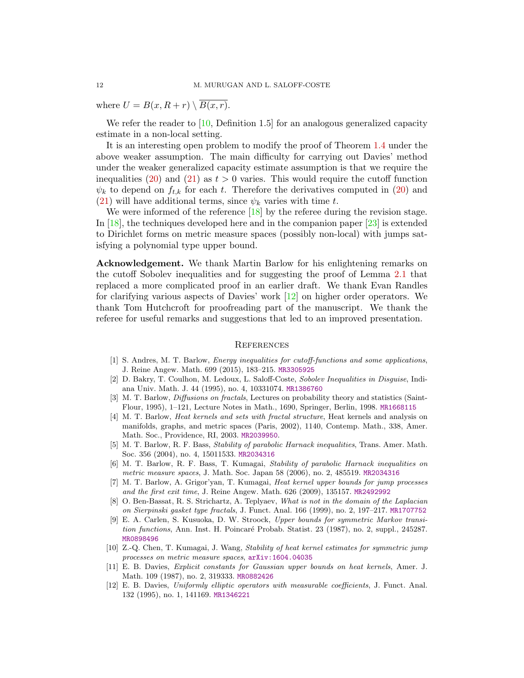where  $U = B(x, R + r) \setminus \overline{B(x, r)}$ .

We refer the reader to  $[10, \text{Definition } 1.5]$  for an analogous generalized capacity estimate in a non-local setting.

It is an interesting open problem to modify the proof of Theorem [1.4](#page-4-1) under the above weaker assumption. The main difficulty for carrying out Davies' method under the weaker generalized capacity estimate assumption is that we require the inequalities [\(20\)](#page-8-0) and [\(21\)](#page-8-1) as  $t > 0$  varies. This would require the cutoff function  $\psi_k$  to depend on  $f_{t,k}$  for each t. Therefore the derivatives computed in [\(20\)](#page-8-0) and [\(21\)](#page-8-1) will have additional terms, since  $\psi_k$  varies with time t.

We were informed of the reference [\[18\]](#page-12-10) by the referee during the revision stage. In [\[18\]](#page-12-10), the techniques developed here and in the companion paper [\[23\]](#page-12-2) is extended to Dirichlet forms on metric measure spaces (possibly non-local) with jumps satisfying a polynomial type upper bound.

Acknowledgement. We thank Martin Barlow for his enlightening remarks on the cutoff Sobolev inequalities and for suggesting the proof of Lemma [2.1](#page-5-0) that replaced a more complicated proof in an earlier draft. We thank Evan Randles for clarifying various aspects of Davies' work [\[12\]](#page-11-3) on higher order operators. We thank Tom Hutchcroft for proofreading part of the manuscript. We thank the referee for useful remarks and suggestions that led to an improved presentation.

## **REFERENCES**

- <span id="page-11-1"></span>[1] S. Andres, M. T. Barlow, Energy inequalities for cutoff-functions and some applications, J. Reine Angew. Math. 699 (2015), 183–215. [MR3305925](http://www.ams.org/mathscinet-getitem?mr=3305925)
- <span id="page-11-9"></span>[2] D. Bakry, T. Coulhon, M. Ledoux, L. Saloff-Coste, Sobolev Inequalities in Disguise, Indiana Univ. Math. J. 44 (1995), no. 4, 10331074. [MR1386760](http://www.ams.org/mathscinet-getitem?mr=1386760)
- <span id="page-11-8"></span>[3] M. T. Barlow, *Diffusions on fractals*, Lectures on probability theory and statistics (Saint-Flour, 1995), 1–121, Lecture Notes in Math., 1690, Springer, Berlin, 1998. [MR1668115](http://www.ams.org/mathscinet-getitem?mr=1668115)
- <span id="page-11-5"></span>[4] M. T. Barlow, Heat kernels and sets with fractal structure, Heat kernels and analysis on manifolds, graphs, and metric spaces (Paris, 2002), 1140, Contemp. Math., 338, Amer. Math. Soc., Providence, RI, 2003. [MR2039950](http://www.ams.org/mathscinet-getitem?mr=2039950).
- <span id="page-11-7"></span>[5] M. T. Barlow, R. F. Bass, Stability of parabolic Harnack inequalities, Trans. Amer. Math. Soc. 356 (2004), no. 4, 15011533. [MR2034316](http://www.ams.org/mathscinet-getitem?mr=2034316)
- <span id="page-11-10"></span>[6] M. T. Barlow, R. F. Bass, T. Kumagai, Stability of parabolic Harnack inequalities on metric measure spaces, J. Math. Soc. Japan 58 (2006), no. 2, 485519. [MR2034316](http://www.ams.org/mathscinet-getitem?mr=2034316)
- <span id="page-11-4"></span>[7] M. T. Barlow, A. Grigor'yan, T. Kumagai, Heat kernel upper bounds for jump processes and the first exit time, J. Reine Angew. Math. 626 (2009), 135157. [MR2492992](http://www.ams.org/mathscinet-getitem?mr=2492992)
- <span id="page-11-6"></span>[8] O. Ben-Bassat, R. S. Strichartz, A. Teplyaev, What is not in the domain of the Laplacian on Sierpinski gasket type fractals, J. Funct. Anal. 166 (1999), no. 2, 197–217. [MR1707752](http://www.ams.org/mathscinet-getitem?mr=1707752)
- <span id="page-11-0"></span>[9] E. A. Carlen, S. Kusuoka, D. W. Stroock, Upper bounds for symmetric Markov transition functions, Ann. Inst. H. Poincaré Probab. Statist. 23 (1987), no. 2, suppl., 245287. [MR0898496](http://www.ams.org/mathscinet-getitem?mr=0898496)
- <span id="page-11-11"></span>[10] Z.-Q. Chen, T. Kumagai, J. Wang, Stability of heat kernel estimates for symmetric jump processes on metric measure spaces, [arXiv:1604.04035](http://arxiv.org/abs/1604.04035)
- <span id="page-11-2"></span>[11] E. B. Davies, Explicit constants for Gaussian upper bounds on heat kernels, Amer. J. Math. 109 (1987), no. 2, 319333. [MR0882426](http://www.ams.org/mathscinet-getitem?mr=0882426)
- <span id="page-11-3"></span>[12] E. B. Davies, Uniformly elliptic operators with measurable coefficients, J. Funct. Anal. 132 (1995), no. 1, 141169. [MR1346221](http://www.ams.org/mathscinet-getitem?mr=1346221)